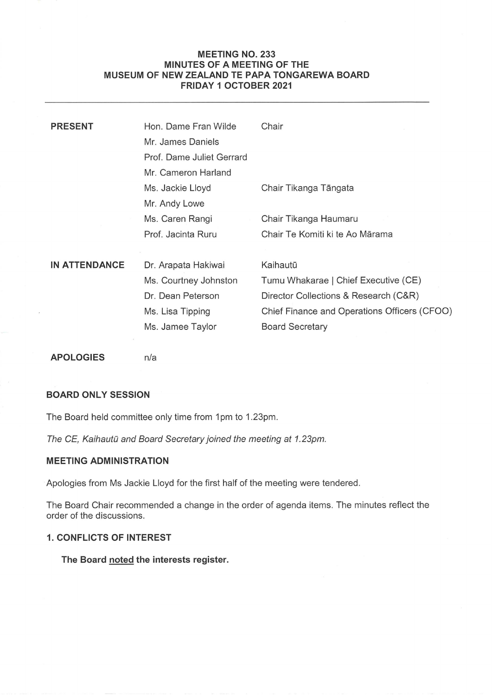# MEETING NO.233 MINUTES OF A MEETING OF THE MUSEUM OF NEW ZEALAND TE PAPA TONGAREWA BOARD MEETING NO. 233<br>MINUTES OF A MEETING OF THE<br>MUSEUM OF NEW ZEALAND TE PAPA TONGAREWA BOARD<br>FRIDAY 1 OCTOBER 2021 FRIDAY 1 OCTOBER 2021

| <b>PRESENT</b>       | Hon, Dame Fran Wilde      | Chair                                        |
|----------------------|---------------------------|----------------------------------------------|
|                      | Mr. James Daniels         |                                              |
|                      | Prof. Dame Juliet Gerrard |                                              |
|                      | Mr. Cameron Harland       |                                              |
|                      | Ms. Jackie Lloyd          | Chair Tikanga Tāngata                        |
|                      | Mr. Andy Lowe             |                                              |
|                      | Ms. Caren Rangi           | Chair Tikanga Haumaru                        |
|                      | Prof. Jacinta Ruru        | Chair Te Komiti ki te Ao Mārama              |
|                      |                           |                                              |
| <b>IN ATTENDANCE</b> | Dr. Arapata Hakiwai       | Kaihautū                                     |
|                      | Ms. Courtney Johnston     | Tumu Whakarae   Chief Executive (CE)         |
|                      | Dr. Dean Peterson         | Director Collections & Research (C&R)        |
|                      | Ms. Lisa Tipping          | Chief Finance and Operations Officers (CFOO) |
|                      | Ms. Jamee Taylor          | <b>Board Secretary</b>                       |
|                      |                           |                                              |

APOLOGIES n/a

# BOARD ONLY SESSION

The Board held committee only time from 1pm to 1.23pm.

The CE, Kaihautū and Board Secretary joined the meeting at 1.23pm.

## MEETING ADMINISTRATION

Apologies from Ms Jackie Lloyd for the first half of the meeting were tendered.

The Board Chair recommended a change in the order of agenda items. The minutes reflect the order of the discussions.

# 1. CONFLICTS OF INTEREST

The Board noted the interests register.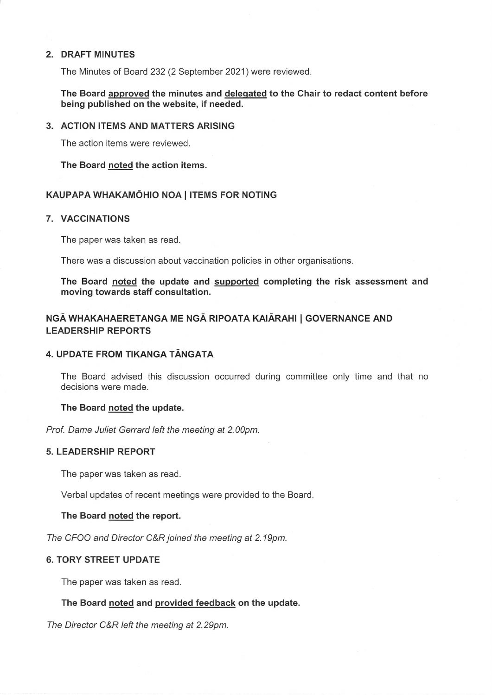## 2. DRAFT MINUTES

The Minutes of Board 232 (2 September 2021) were reviewed.

The Board approved the minutes and delegated to the Chair to redact content before being published on the website, if needed.

#### 3. ACTION ITEMS AND MATTERS ARISING

The action items were reviewed.

The Board noted the action items.

#### KAUPAPA WHAKAMOHIO NOA| ITEMS FOR NOTING

#### 7. VACCINATIONS

The paper was taken as read.

There was a discussion about vaccination policies in other organisations.

The Board noted the update and supported completing the risk assessment and moving towards staff consultation.

# NGĀ WHAKAHAERETANGA ME NGĀ RIPOATA KAIĀRAHI | GOVERNANCE AND LEADERSHIP REPORTS

# 4. UPDATE FROM TIKANGA TANGATA

The Board advised this discussion occurred during committee only time and that no decisions were made.

#### The Board noted the update.

Prof. Dame Juliet Gerrard left the meeting at 2.00pm.

#### 5. LEADERSHIP REPORT

The paper was taken as read.

Verbal updates of recent meetings were provided to the Board.

#### The Board noted the report.

The CFOO and Director C&R joined the meeting at 2.19pm.

#### 6. TORY STREET UPDATE

The paper was taken as read.

#### The Board noted and provided feedback on the update.

The Director C&R left the meeting at 2.29pm.